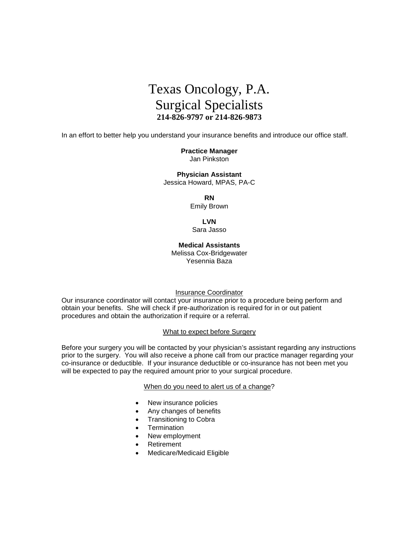

In an effort to better help you understand your insurance benefits and introduce our office staff.

**Practice Manager** Jan Pinkston

**Physician Assistant** Jessica Howard, MPAS, PA-C

**RN**

Emily Brown

**LVN**

Sara Jasso

**Medical Assistants** Melissa Cox-Bridgewater Yesennia Baza

Insurance Coordinator

Our insurance coordinator will contact your insurance prior to a procedure being perform and obtain your benefits. She will check if pre-authorization is required for in or out patient procedures and obtain the authorization if require or a referral.

#### What to expect before Surgery

Before your surgery you will be contacted by your physician's assistant regarding any instructions prior to the surgery. You will also receive a phone call from our practice manager regarding your co-insurance or deductible. If your insurance deductible or co-insurance has not been met you will be expected to pay the required amount prior to your surgical procedure.

When do you need to alert us of a change?

- New insurance policies
- Any changes of benefits
- Transitioning to Cobra
- **Termination**
- New employment
- Retirement
- Medicare/Medicaid Eligible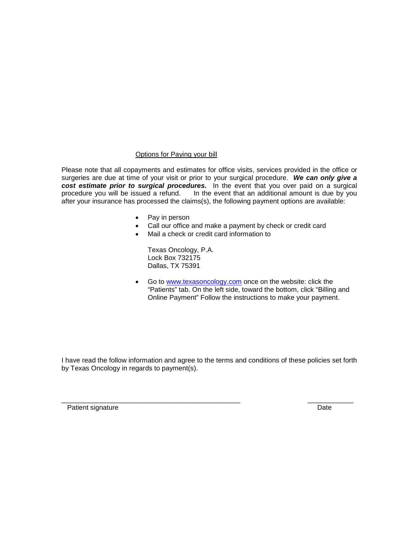### Options for Paying your bill

Please note that all copayments and estimates for office visits, services provided in the office or surgeries are due at time of your visit or prior to your surgical procedure. *We can only give a cost estimate prior to surgical procedures.* In the event that you over paid on a surgical procedure you will be issued a refund. In the event that an additional amount is due by you after your insurance has processed the claims(s), the following payment options are available:

- Pay in person
- Call our office and make a payment by check or credit card
- Mail a check or credit card information to

Texas Oncology, P.A. Lock Box 732175 Dallas, TX 75391

Go to [www.texasoncology.com](http://www.texasoncology.com/) once on the website: click the "Patients" tab. On the left side, toward the bottom, click "Billing and Online Payment" Follow the instructions to make your payment.

I have read the follow information and agree to the terms and conditions of these policies set forth by Texas Oncology in regards to payment(s).

\_\_\_\_\_\_\_\_\_\_\_\_\_\_\_\_\_\_\_\_\_\_\_\_\_\_\_\_\_\_\_\_\_\_\_\_\_\_\_\_\_\_\_\_\_\_\_ \_\_\_\_\_\_\_\_\_\_\_\_

Patient signature Date Date of the Date of the Date Date Date Date Date Date Date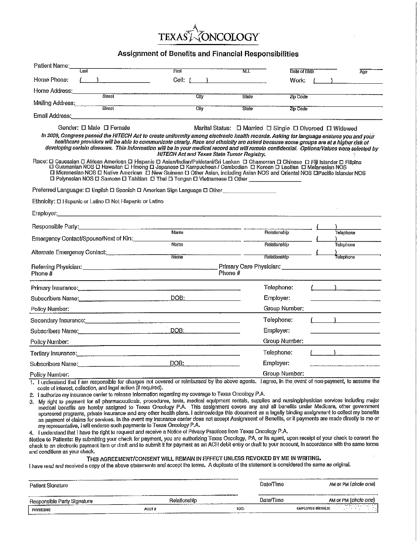### Assignment of Benefits and Financial Responsibilities

| Patient Name:<br>Last                                                                                                                                                                                                                                                                                                                                                                                                                                                                                                                                                                                                                                                                                                                                                                                                      | First                                                                                                                                                                                                                          | M.I.                                                    | Date of Birth | Age                                                          |
|----------------------------------------------------------------------------------------------------------------------------------------------------------------------------------------------------------------------------------------------------------------------------------------------------------------------------------------------------------------------------------------------------------------------------------------------------------------------------------------------------------------------------------------------------------------------------------------------------------------------------------------------------------------------------------------------------------------------------------------------------------------------------------------------------------------------------|--------------------------------------------------------------------------------------------------------------------------------------------------------------------------------------------------------------------------------|---------------------------------------------------------|---------------|--------------------------------------------------------------|
| Home Phone:                                                                                                                                                                                                                                                                                                                                                                                                                                                                                                                                                                                                                                                                                                                                                                                                                | Cell: (                                                                                                                                                                                                                        |                                                         | Work:         |                                                              |
| Home Address:<br>Street                                                                                                                                                                                                                                                                                                                                                                                                                                                                                                                                                                                                                                                                                                                                                                                                    |                                                                                                                                                                                                                                |                                                         |               |                                                              |
| Mailing Address:                                                                                                                                                                                                                                                                                                                                                                                                                                                                                                                                                                                                                                                                                                                                                                                                           | <b>City</b>                                                                                                                                                                                                                    | State                                                   | Zip Code      |                                                              |
| Street<br>Email Address:                                                                                                                                                                                                                                                                                                                                                                                                                                                                                                                                                                                                                                                                                                                                                                                                   | Cily<br><u> 1989 - Johann Stoff, martin film ar yn y breninn y breninn y breninn y breninn y breninn y breninn y breninn y</u>                                                                                                 | State                                                   | Zip Code      |                                                              |
| Gender: [] Male [] Female<br>In 2009, Congress passed the HITECH Act to create uniformity among electronic health records. Asking for language ensures you and your<br>healthcare providers will be able to communicate clearly. Race and ethnicity are asked because some groups are at a higher risk of<br>developing certain diseases. This information will be in your medical record and will remain confidential. Options/Values were selected by<br>Race: O Caucasian □ African American □ Hispanic □ Asian/Indian/Pakistani/Sri Lankan □ Chamorran □ Chinese □ Fiji Islander □ Filipino<br>□ Guamanian NOS □ Hawaiian □ Hmong □ Japanese □ Kampuchean / Cambodian □ Korean □ Laotia<br>□ Micronesian NOS □ Native American □ New Guinean □ Other Asian, including Asian NOS and Oriental NOS □Paolilo Islander NOS | HITECH Act and Texas State Tumor Registry.                                                                                                                                                                                     | Marital Status: [ Married [ Single   Divorced   Widowed |               |                                                              |
| □ Polynesian NOS □ Samoan □ Tahilian □ Thai □ Tongan □ Vietnamese □ Other                                                                                                                                                                                                                                                                                                                                                                                                                                                                                                                                                                                                                                                                                                                                                  |                                                                                                                                                                                                                                |                                                         |               |                                                              |
| Preferred Language: □ English □ Spanish □ American Sign Language □ Other                                                                                                                                                                                                                                                                                                                                                                                                                                                                                                                                                                                                                                                                                                                                                   |                                                                                                                                                                                                                                |                                                         |               |                                                              |
| Ethnicity: D Hispanic or Latino D Not Hispanic or Latino                                                                                                                                                                                                                                                                                                                                                                                                                                                                                                                                                                                                                                                                                                                                                                   |                                                                                                                                                                                                                                |                                                         |               |                                                              |
|                                                                                                                                                                                                                                                                                                                                                                                                                                                                                                                                                                                                                                                                                                                                                                                                                            |                                                                                                                                                                                                                                |                                                         |               |                                                              |
|                                                                                                                                                                                                                                                                                                                                                                                                                                                                                                                                                                                                                                                                                                                                                                                                                            |                                                                                                                                                                                                                                |                                                         |               |                                                              |
| Emergency Contact/Spouse/Next of Kin:                                                                                                                                                                                                                                                                                                                                                                                                                                                                                                                                                                                                                                                                                                                                                                                      | Name                                                                                                                                                                                                                           | Relationship                                            |               | Telephone                                                    |
|                                                                                                                                                                                                                                                                                                                                                                                                                                                                                                                                                                                                                                                                                                                                                                                                                            | Name                                                                                                                                                                                                                           | Relationship                                            |               | <b>Telephone</b>                                             |
| Alternate Emergency Contact: [11]                                                                                                                                                                                                                                                                                                                                                                                                                                                                                                                                                                                                                                                                                                                                                                                          | Name                                                                                                                                                                                                                           | Relationship                                            |               | Telephone                                                    |
| Phone $#$<br><u> 1980 - Januari Land, Amerikaansk politiker (</u>                                                                                                                                                                                                                                                                                                                                                                                                                                                                                                                                                                                                                                                                                                                                                          | Phone #                                                                                                                                                                                                                        |                                                         |               | Primary Care Physician: New York Changes and Care Physician: |
| Primary Insurance: example and the contract of the contract of the contract of the contract of the contract of                                                                                                                                                                                                                                                                                                                                                                                                                                                                                                                                                                                                                                                                                                             |                                                                                                                                                                                                                                | Telephone:                                              |               | $\left(\begin{array}{ccc} 1 & 1 \end{array}\right)$          |
| Subscribers Name:                                                                                                                                                                                                                                                                                                                                                                                                                                                                                                                                                                                                                                                                                                                                                                                                          | DOB: the contract of the contract of the contract of the contract of the contract of the contract of the contract of the contract of the contract of the contract of the contract of the contract of the contract of the contr | Employer:                                               |               |                                                              |
| Policγ Number:                                                                                                                                                                                                                                                                                                                                                                                                                                                                                                                                                                                                                                                                                                                                                                                                             |                                                                                                                                                                                                                                |                                                         | Group Number: |                                                              |
| Secondary Insurance: <u>contained a contract of the contract of the contract of the contract of the contract of the contract of the contract of the contract of the contract of the contract of the contract of the contract of </u>                                                                                                                                                                                                                                                                                                                                                                                                                                                                                                                                                                                       |                                                                                                                                                                                                                                | Telephone:                                              |               | $($ $)$ $)$ $)$ $)$                                          |
|                                                                                                                                                                                                                                                                                                                                                                                                                                                                                                                                                                                                                                                                                                                                                                                                                            | DOB:                                                                                                                                                                                                                           | Employer:                                               |               | <u> 1989 - Johann Barbara, martin a</u>                      |
| Policy Number:                                                                                                                                                                                                                                                                                                                                                                                                                                                                                                                                                                                                                                                                                                                                                                                                             |                                                                                                                                                                                                                                |                                                         | Group Number: |                                                              |
| Tertiary Insurance: internal contracts and contracts are also and contracts are also and contracts are also an                                                                                                                                                                                                                                                                                                                                                                                                                                                                                                                                                                                                                                                                                                             |                                                                                                                                                                                                                                | Telephone:                                              |               |                                                              |
| Subscribers Name: Communication of the Subscribers Name:                                                                                                                                                                                                                                                                                                                                                                                                                                                                                                                                                                                                                                                                                                                                                                   | DOB:                                                                                                                                                                                                                           | Employer:                                               |               |                                                              |
| Policy Number;                                                                                                                                                                                                                                                                                                                                                                                                                                                                                                                                                                                                                                                                                                                                                                                                             |                                                                                                                                                                                                                                |                                                         | Group Number: |                                                              |
| 1. I understand that I am responsible for charges not covered or reimbursed by the above agents. I agree, in the event of non-payment, to assume the<br>costs of interest, collection, and legal action (if required).                                                                                                                                                                                                                                                                                                                                                                                                                                                                                                                                                                                                     |                                                                                                                                                                                                                                |                                                         |               |                                                              |

2. I authorize my insurance carrier to release information regarding my coverage to Texas Oncology P.A.

3. My right to payment for all pharmaceuticals, procedures, tests, medical equipment rentals, supplies and nursing/physician services including major medical benefits are hereby assigned to Texas Oncology P.A. This assignment covers any and all benefits under Medicare, other government sponsored programs, private insurance and any other health plans. I acknowledge this as payment of claims for services. In the event my insurance can'ter does not accept Assignment of Benefits, or if payments are made directly to me or my representative, I will endorse such payments to Texas Oncology P.A.

4. I understand that I have the right to request and receive a Notice of Privacy Practices from Texas Oncology P.A.

Notice to Patients: By submitting your check for payment, you are authorizing Texas Oncology, PA, or its agent, upon receipt of your check to convert the check to an electronic payment item or draft and to submit it for pa and conditions as your check.

#### THIS AGREEMENT/CONSENT WILL REMAIN IN EFFECT UNLESS REVOKED BY ME IN WRITING.

I have read and received a copy of the above statements and accept the terms. A duplicate of the statement is considered the same as original.

| Patient Signature           | www.componentation.com<br>------ |             | Date/Time | AM OT PM (circle one)                                                           |
|-----------------------------|----------------------------------|-------------|-----------|---------------------------------------------------------------------------------|
| Responsible Party Signature | Relationship                     |             | Date/Time | AM Or PM (circle one)                                                           |
| PHYSICIAN:<br>________      | ACCT #                           | LOC:<br>--- |           | والمتعاطف فالمتفاقع فستعطف فتستحص والمستحدث<br>. 7<br><b>EMPLOYEE INITIALS:</b> |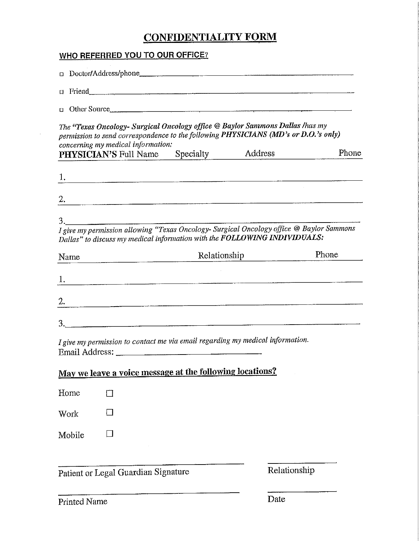# **CONFIDENTIALITY FORM**

## **WHO REFERRED YOU TO OUR OFFICE?**

 $\ddot{\phantom{a}}$ 

|        | $\Box$ Friend $\Box$                                                                                                                                                                                                                                 |              |       |
|--------|------------------------------------------------------------------------------------------------------------------------------------------------------------------------------------------------------------------------------------------------------|--------------|-------|
|        | $\Box$ Other Source                                                                                                                                                                                                                                  |              |       |
|        | The "Texas Oncology- Surgical Oncology office @ Baylor Sammons Dallas /has my<br>permission to send correspondence to the following PHYSICIANS (MD's or D.O.'s only)<br>concerning my medical information:<br><b>PHYSICIAN'S</b> Full Name Specialty | Address      | Phone |
|        |                                                                                                                                                                                                                                                      |              |       |
|        | $\overline{2}$ .<br>I give my permission allowing "Texas Oncology- Surgical Oncology office @ Baylor Sammons<br>Dallas" to discuss my medical information with the FOLLOWING INDIVIDUALS:                                                            |              |       |
| Name   |                                                                                                                                                                                                                                                      | Relationship | Phone |
|        |                                                                                                                                                                                                                                                      |              |       |
|        | 2. $\blacksquare$                                                                                                                                                                                                                                    |              |       |
|        |                                                                                                                                                                                                                                                      |              |       |
|        | I give my permission to contact me via email regarding my medical information.                                                                                                                                                                       |              |       |
|        | May we leave a voice message at the following locations?                                                                                                                                                                                             |              |       |
| Home   | $\mathsf{I}$                                                                                                                                                                                                                                         |              |       |
| Work   |                                                                                                                                                                                                                                                      |              |       |
| Mobile |                                                                                                                                                                                                                                                      |              |       |
|        | Patient or Legal Guardian Signature                                                                                                                                                                                                                  | Relationship |       |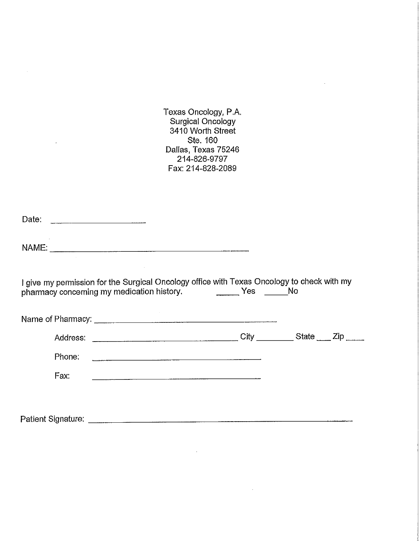Texas Oncology, P.A.<br>Surgical Oncology<br>3410 Worth Street Ste. 160 Dallas, Texas 75246 214-826-9797 Fax: 214-828-2089

| I give my permission for the Surgical Oncology office with Texas Oncology to check with my<br>pharmacy concerning my medication history. The Mondon Mesic Mondon Mondon Mondon Mondon Mondon Mondon Mondon Mo |  |
|---------------------------------------------------------------------------------------------------------------------------------------------------------------------------------------------------------------|--|
|                                                                                                                                                                                                               |  |
|                                                                                                                                                                                                               |  |
| Phone:                                                                                                                                                                                                        |  |
| Fax:                                                                                                                                                                                                          |  |
|                                                                                                                                                                                                               |  |
|                                                                                                                                                                                                               |  |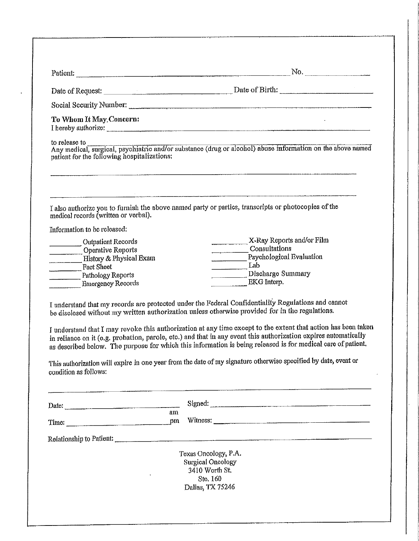| Social Security Number:<br>To Whom It May Concern:<br>I hereby authorize: example and the contract of the contract of the contract of the contract of the contract of the contract of the contract of the contract of the contract of the contract of the contract of the contract o<br>to release to<br>Any medical, surgical, psychiatric and/or substance (drug or alcohol) abuse information on the above named<br>patient for the following hospitalizations:<br>I also authorize you to furnish the above named party or parties, transcripts or photocopies of the<br>medical records (written or verbal).<br>Information to be released:<br>Outpatient Records<br>Operative Reports<br>History & Physical Exam<br>Fact Sheet<br>Pathology Reports<br><b>Emergency Records</b><br>I understand that my records are protected under the Federal Confidentiality Regulations and cannot<br>be disclosed without my written authorization unless otherwise provided for in the regulations.<br>I understand that I may revoke this authorization at any time except to the extent that action has been taken<br>in reliance on it (e.g. probation, parole, etc.) and that in any event this authorization expires automatically | X-Ray Reports and/or Film<br>Consultations<br>Psychological Evaluation<br>Lab<br>Discharge Summary<br>EKG Interp. |
|-------------------------------------------------------------------------------------------------------------------------------------------------------------------------------------------------------------------------------------------------------------------------------------------------------------------------------------------------------------------------------------------------------------------------------------------------------------------------------------------------------------------------------------------------------------------------------------------------------------------------------------------------------------------------------------------------------------------------------------------------------------------------------------------------------------------------------------------------------------------------------------------------------------------------------------------------------------------------------------------------------------------------------------------------------------------------------------------------------------------------------------------------------------------------------------------------------------------------------------|-------------------------------------------------------------------------------------------------------------------|
|                                                                                                                                                                                                                                                                                                                                                                                                                                                                                                                                                                                                                                                                                                                                                                                                                                                                                                                                                                                                                                                                                                                                                                                                                                     |                                                                                                                   |
|                                                                                                                                                                                                                                                                                                                                                                                                                                                                                                                                                                                                                                                                                                                                                                                                                                                                                                                                                                                                                                                                                                                                                                                                                                     |                                                                                                                   |
|                                                                                                                                                                                                                                                                                                                                                                                                                                                                                                                                                                                                                                                                                                                                                                                                                                                                                                                                                                                                                                                                                                                                                                                                                                     |                                                                                                                   |
|                                                                                                                                                                                                                                                                                                                                                                                                                                                                                                                                                                                                                                                                                                                                                                                                                                                                                                                                                                                                                                                                                                                                                                                                                                     |                                                                                                                   |
|                                                                                                                                                                                                                                                                                                                                                                                                                                                                                                                                                                                                                                                                                                                                                                                                                                                                                                                                                                                                                                                                                                                                                                                                                                     |                                                                                                                   |
|                                                                                                                                                                                                                                                                                                                                                                                                                                                                                                                                                                                                                                                                                                                                                                                                                                                                                                                                                                                                                                                                                                                                                                                                                                     |                                                                                                                   |
|                                                                                                                                                                                                                                                                                                                                                                                                                                                                                                                                                                                                                                                                                                                                                                                                                                                                                                                                                                                                                                                                                                                                                                                                                                     |                                                                                                                   |
|                                                                                                                                                                                                                                                                                                                                                                                                                                                                                                                                                                                                                                                                                                                                                                                                                                                                                                                                                                                                                                                                                                                                                                                                                                     |                                                                                                                   |
|                                                                                                                                                                                                                                                                                                                                                                                                                                                                                                                                                                                                                                                                                                                                                                                                                                                                                                                                                                                                                                                                                                                                                                                                                                     |                                                                                                                   |
|                                                                                                                                                                                                                                                                                                                                                                                                                                                                                                                                                                                                                                                                                                                                                                                                                                                                                                                                                                                                                                                                                                                                                                                                                                     |                                                                                                                   |
|                                                                                                                                                                                                                                                                                                                                                                                                                                                                                                                                                                                                                                                                                                                                                                                                                                                                                                                                                                                                                                                                                                                                                                                                                                     |                                                                                                                   |
| This authorization will expire in one year from the date of my signature otherwise specified by date, event or<br>condition as follows:                                                                                                                                                                                                                                                                                                                                                                                                                                                                                                                                                                                                                                                                                                                                                                                                                                                                                                                                                                                                                                                                                             | as described below. The purpose for which this information is being released is for medical care of patient.      |
| Date:                                                                                                                                                                                                                                                                                                                                                                                                                                                                                                                                                                                                                                                                                                                                                                                                                                                                                                                                                                                                                                                                                                                                                                                                                               |                                                                                                                   |
| ат<br>pm<br>Time: $\qquad \qquad \qquad$ Time:                                                                                                                                                                                                                                                                                                                                                                                                                                                                                                                                                                                                                                                                                                                                                                                                                                                                                                                                                                                                                                                                                                                                                                                      | Witness:                                                                                                          |
|                                                                                                                                                                                                                                                                                                                                                                                                                                                                                                                                                                                                                                                                                                                                                                                                                                                                                                                                                                                                                                                                                                                                                                                                                                     |                                                                                                                   |
| Texas Oncology, P.A.                                                                                                                                                                                                                                                                                                                                                                                                                                                                                                                                                                                                                                                                                                                                                                                                                                                                                                                                                                                                                                                                                                                                                                                                                |                                                                                                                   |
| <b>Surgical Oncology</b>                                                                                                                                                                                                                                                                                                                                                                                                                                                                                                                                                                                                                                                                                                                                                                                                                                                                                                                                                                                                                                                                                                                                                                                                            |                                                                                                                   |
| 3410 Worth St.                                                                                                                                                                                                                                                                                                                                                                                                                                                                                                                                                                                                                                                                                                                                                                                                                                                                                                                                                                                                                                                                                                                                                                                                                      |                                                                                                                   |
| Ste. 160                                                                                                                                                                                                                                                                                                                                                                                                                                                                                                                                                                                                                                                                                                                                                                                                                                                                                                                                                                                                                                                                                                                                                                                                                            |                                                                                                                   |
| Dallas, TX 75246                                                                                                                                                                                                                                                                                                                                                                                                                                                                                                                                                                                                                                                                                                                                                                                                                                                                                                                                                                                                                                                                                                                                                                                                                    |                                                                                                                   |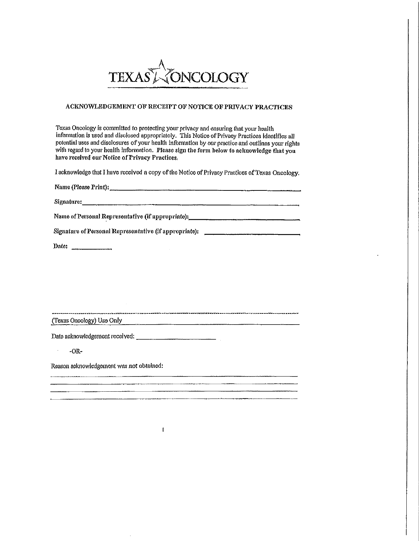

#### ACKNOWLEDGEMENT OF RECEIPT OF NOTICE OF PRIVACY PRACTICES

Texas Oncology is committed to protecting your privacy and ensuring that your health information is used and disclosed appropriately. This Notice of Privacy Practices identifies all potential uses and disclosures of your health information by our practice and outlines your rights with regard to your health information. Please sign the form below to acknowledge that you have received our Notice of Privacy Practices.

I acknowledge that I have received a copy of the Notice of Privacy Practices of Texas Oncology.

| Name (Please Print):                                   |
|--------------------------------------------------------|
| Signature:                                             |
| Name of Personal Representative (if appropriate):      |
| Signature of Personal Representative (if appropriate): |

,<br>тепличения развития по произведения развития противаритория в 1482 м в 200 м последними по постояния премостав

Date:  $\frac{1}{2}$ 

(Texas Oncology) Use Only

 $\ddot{\phantom{a}}$  $-OR-$ 

Reason acknowledgement was not obtained:

I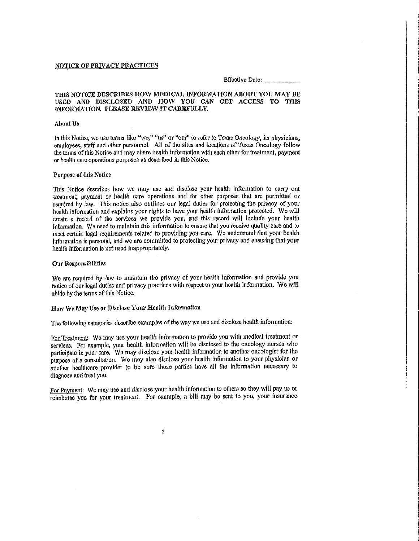#### NOTICE OF PRIVACY PRACTICES

**Effective Date:** 

#### THIS NOTICE DESCRIBES HOW MEDICAL INFORMATION ABOUT YOU MAY BE USED AND DISCLOSED AND HOW YOU CAN GET ACCESS TO THIS INFORMATION, PLEASE REVIEW IT CAREFULLY,

#### **About Us**

In this Notice, we use terms like "we," "us" or "our" to refer to Texas Oncology, its physicians, employees, staff and other personnel. All of the sites and locations of Texas Oncology follow the terms of this Notice and may share health information with each other for treatment, payment or health care operations purposes as described in this Notice.

#### Purpose of this Notice

This Notice describes how we may use and disclose your health information to carry out treatment, payment or health care operations and for other purposes that are permitted or required by law. This notice also outlines our legal duties for protecting the privacy of your health information and explains your rights to have your health information protected. We will create a record of the services we provide you, and this record will include your health information. We need to maintain this information to ensure that you receive quality care and to meet certain legal requirements related to providing you care. We understand that your health information is personal, and we are committed to protecting your privacy and ensuring that your health information is not used inappropriately.

#### Our Responsibilities

We are required by law to maintain the privacy of your health information and provide you notice of our legal duties and privacy practices with respect to your health information. We will abide by the terms of this Notice.

#### How We May Use or Disclose Your Health Information

The following categories describe examples of the way we use and disclose health information:

For Treatment: We may use your health information to provide you with medical treatment or services. For example, your health information will be disclosed to the oncology nurses who participate in your care. We may disclose your health information to another oncologist for the purpose of a consultation. We may also disclose your health information to your physician or another healthcare provider to be sure those parties have all the information necessary to diagnose and treat you.

For Payment: We may use and disclose your health information to others so they will pay us or reimburse you for your treatment. For example, a bill may be sent to you, your insurance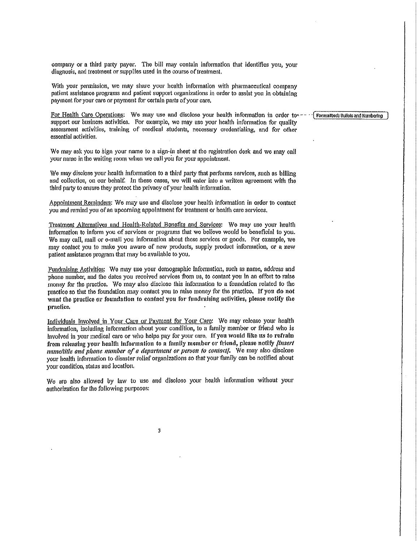company or a third party payer. The bill may contain information that identifies you, your diagnosis, and treatment or supplies used in the course of treatment.

With your permission, we may share your health information with pharmaceutical company patient assistance programs and patient support organizations in order to assist you in obtaining payment for your care or payment for certain parts of your care.

For Health Care Operations: We may use and disclose your health information in order tosupport our business activities. For example, we may use your health information for quality assessment activities, training of medical students, necessary credentialing, and for other essential activities.

We may ask you to sign your name to a sign-in sheet at the registration desk and we may call your name in the waiting room when we call you for your appointment.

We may disclose your health information to a third party that performs services, such as billing and collection, on our behalf. In these cases, we will enter into a written agreement with the third party to ensure they protect the privacy of your health information,

Appointment Reminders: We may use and disclose your health information in order to contact you and remind you of an upcoming appointment for treatment or health care services,

Treatment Alternatives and Health-Related Benefits and Services: We may use your health information to inform you of services or programs that we believe would be beneficial to you. We may call, mail or e-mail you information about these services or goods. For example, we may contact you to make you aware of new products, supply product information, or a new patient assistance program that may be available to you.

Fundraising Activities: We may use your demographic information, such as name, address and phone number, and the dates you received services from us, to contact you in an effort to raise money for the practice. We may also disclose this information to a foundation related to the practice so that the foundation may contact you to raise money for the practice. If you do not want the practice or foundation to contact you for fundraising activities, please notify the practice.

Individuals Involved in Your Care or Payment for Your Care: We may release your health information, including information about your condition, to a family member or friend who is involved in your medical care or who helps pay for your care. If you would like us to refrain from releasing your health information to a family member or friend, please notify linsert name/title and phone number of a department or person to contact]. We may also disclose your health information to disaster relief organizations so that your family can be notified about your condition, status and location.

We are also allowed by law to use and disclose your health information without your authorization for the following purposes:

3

#### Formatted: Builets and Numbering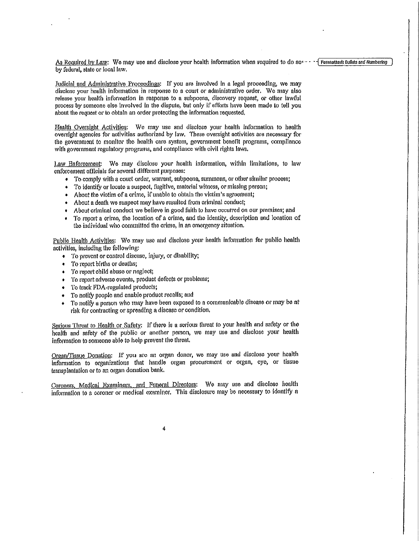As Required by Law: We may use and disclose your health information when required to do so  $\cdots$  Permatted: Bullets and Numbering by federal, state or local law.

Judicial and Administrative Proceedings: If you are involved in a legal proceeding, we may disclose your health information in response to a court or administrative order. We may also release your health information in response to a subpoena, discovery request, or other lawful process by someone else involved in the dispute, but only if efforts have been made to tell you about the request or to obtain an order protecting the information requested.

Health Oversight Activities: We may use and disclose your health information to health oversight agencies for activities authorized by law. These oversight activities are necessary for the government to monitor the health care system, government benefit programs, compliance with government regulatory programs, and compliance with civil rights laws,

Law Enforcement: We may disclose your health information, within limitations, to law enforcement officials for several different purposes:

- To comply with a court order, warrant, subpoena, summons, or other similar process;
- To identify or locate a suspect, fligitive, material witness, or missing person;
- About the victim of a crime, if unable to obtain the victim's agreement;
- About a death we suspect may have resulted from criminal conduct;  $\bullet$
- About criminal conduct we believe in good faith to have occurred on our premises; and
- To report a crimo, the location of a crime, and the identity, description and location of  $\bullet$ the individual who committed the crime, in an emergency situation.

Public Health Activities: We may use and disclose your health information for public health activities, including the following:

- To prevent or control disease, injury, or disability;
- To report births or deaths;
- To report child abuse or neglect;
- To report adverse events, product defects or problems;
- To track FDA-regulated products:
- To notify people and enable product recalls; and ۰
- To notify a person who may have been exposed to a communicable disease or may be at  $\ddot{\bullet}$ risk for contracting or spreading a disease or condition.

Serious Threat to Health or Safety: If there is a serious threat to your health and safety or the health and safety of the public or another person, we may use and disclose your health information to someone able to help prevent the threat.

Organ/Tissue Donation: If you are an organ donor, we may use and disclose your health information to organizations that handle organ procurement or organ, eye, or tissue transplantation or to an organ donation bank.

Coroners, Medical Examiners, and Funeral Directors: We may use and disclose health information to a coroner or medical examiner. This disclosure may be necessary to identify a

4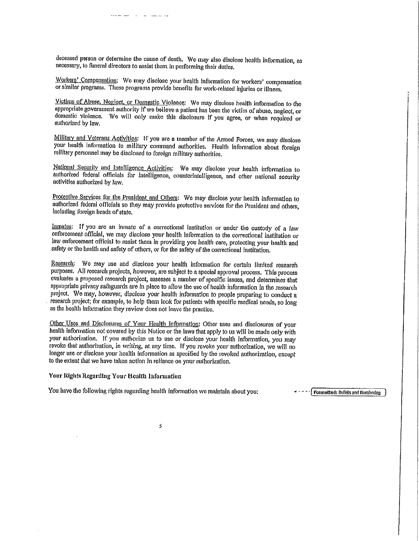deceased person or determine the cause of death. We may also disclose health information, as necessary, to funeral directors to assist them in performing their duties.

 $\mathbf{u} = \mathbf{u}$ 

Workers' Compensation: We may disclose your health information for workers' compensation or similar programs. These programs provide benefits for work-related injuries or illness.

Victims of Abuse, Neglect, or Domestic Violence: We may disclose health information to the appropriate government authority if we believe a patient has been the victim of abuse, neglect, or domestic violence. We will only make this disclosure if you agree, or when required or authorized by law.

Military and Veterans Activities: If you are a member of the Armed Forces, we may disclose your health information to military command authorities. Health information about foreign military personnel may be disclosed to foreign military authorities.

National Security and Intelligence Activities: We may disclose your health information to authorized federal officials for intelligence, counterintelligence, and other national security activities authorized by law.

Protective Services for the President and Others: We may disclose your health information to authorized federal officials so they may provide protective services for the President and others. including foreign heads of state.

Inmates: If you are an inmate of a correctional institution or under the custody of a law enforcement official, we may disclose your health information to the correctional institution or law enforcement official to assist them in providing you health care, protecting your health and safety or the health and safety of others, or for the safety of the correctional institution.

Research: We may use and disclose your health information for certain limited research purposes. All research projects, however, are subject to a special approval process. This process evaluates a proposed research project, assesses a number of specific issues, and determines that appropriate privacy safeguards are in place to allow the use of health information in the research project. We may, however, disclose your health information to people preparing to conduct a research project; for example, to help them look for patients with specific medical needs, so long as the health information they review does not leave the practice.

Other Uses and Disclosures of Your Health Information; Other uses and disclosures of your health information not covered by this Notice or the laws that apply to us will be made only with your authorization. If you authorize us to use or disclose your health information, you may revoke that authorization, in writing, at any time. If you revoke your authorization, we will no longer use or disclose your health information as specified by the revoked authorization, except to the extent that we have taken action in reliance on your authorization.

Your Rights Regarding Your Health Information

You have the following rights regarding health information we maintain about you:

Formatted: Bullets and Numbering

5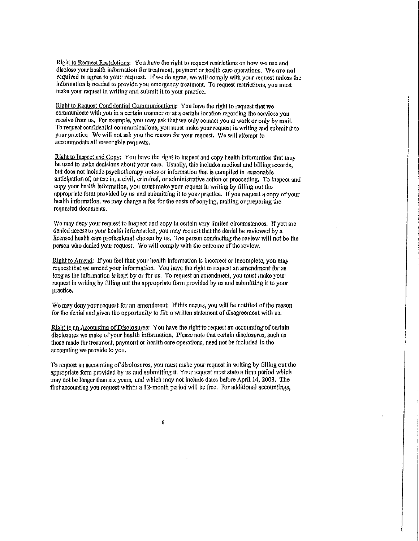Right to Request Restrictions: You have the right to request restrictions on how we use and disclose your health information for treatment, payment or health care operations. We are not required to agree to your request. If we do agree, we will comply with your request unless the information is needed to provide you emergency treatment. To request restrictions, you must make your request in writing and submit it to your practice.

Right to Request Confidential Communications: You have the right to request that we communicate with you in a certain manner or at a certain location regarding the services you receive from us. For example, you may ask that we only contact you at work or only by mail, To request confidential communications, you must make your request in writing and submit it to your practice. We will not ask you the reason for your request. We will attempt to accommodate all reasonable requests.

Right to Inspect and Copy; You have the right to inspect and copy health information that may be used to make decisions about your care. Usually, this includes medical and billing records, but does not include psychotherapy notes or information that is compiled in reasonable anticipation of, or use in, a civil, criminal, or administrative action or proceeding. To inspect and copy your health information, you must make your request in writing by filling out the appropriate form provided by us and submitting it to your practice. If you request a copy of your health information, we may charge a fee for the costs of copying, mailing or preparing the requested documents.

We may deny your request to inspect and copy in certain very limited circumstances. If you are denied access to your health information, you may request that the denial be reviewed by a licensed health care professional chosen by us. The person conducting the review will not be the person who denied your request. We will comply with the outcome of the review.

Right to Amend: If you feel that your health information is incorrect or incomplete, you may request that we amend your information. You have the right to request an amendment for as long as the information is kept by or for us. To request an amendment, you must make your request in writing by filling out the appropriate form provided by us and submitting it to your practice.

We may deny your request for an amendment. If this occurs, you will be notified of the reason for the denial and given the opportunity to file a written statement of disagreement with us.

Right to an Accounting of Disclosures: You have the right to request an accounting of certain disclosures we make of your health information. Please note that certain disclosures, such as those made for treatment, payment or health care operations, need not be included in the accounting we provide to you.

To request an accounting of disclosures, you must make your request in writing by filling out the appropriate form provided by us and submitting it. Your request must state a time period which may not be longer than six years, and which may not include dates before April 14, 2003. The first accounting you request within a 12-month period will be free. For additional accountings,

6